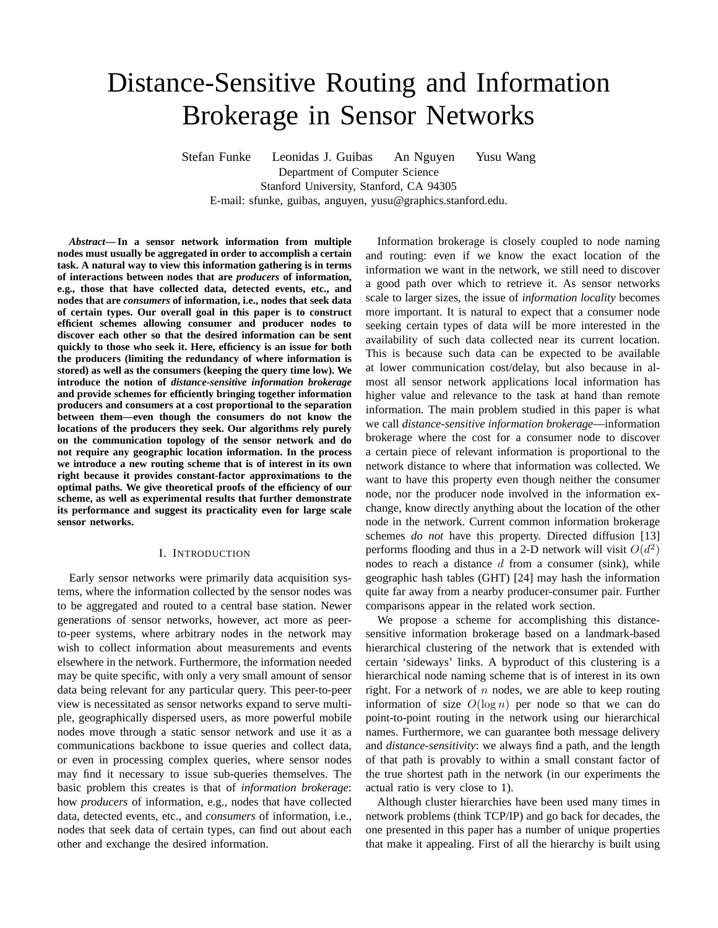# Distance-Sensitive Routing and Information Brokerage in Sensor Networks

Stefan Funke Leonidas J. Guibas An Nguyen Yusu Wang Department of Computer Science Stanford University, Stanford, CA 94305 E-mail: sfunke, guibas, anguyen, yusu@graphics.stanford.edu.

*Abstract***— In a sensor network information from multiple nodes must usually be aggregated in order to accomplish a certain task. A natural way to view this information gathering is in terms of interactions between nodes that are** *producers* **of information, e.g., those that have collected data, detected events, etc., and nodes that are** *consumers* **of information, i.e., nodes that seek data of certain types. Our overall goal in this paper is to construct efficient schemes allowing consumer and producer nodes to discover each other so that the desired information can be sent quickly to those who seek it. Here, efficiency is an issue for both the producers (limiting the redundancy of where information is stored) as well as the consumers (keeping the query time low). We introduce the notion of** *distance-sensitive information brokerage* **and provide schemes for efficiently bringing together information producers and consumers at a cost proportional to the separation between them—even though the consumers do not know the locations of the producers they seek. Our algorithms rely purely on the communication topology of the sensor network and do not require any geographic location information. In the process we introduce a new routing scheme that is of interest in its own right because it provides constant-factor approximations to the optimal paths. We give theoretical proofs of the efficiency of our scheme, as well as experimental results that further demonstrate its performance and suggest its practicality even for large scale sensor networks.**

### I. INTRODUCTION

Early sensor networks were primarily data acquisition systems, where the information collected by the sensor nodes was to be aggregated and routed to a central base station. Newer generations of sensor networks, however, act more as peerto-peer systems, where arbitrary nodes in the network may wish to collect information about measurements and events elsewhere in the network. Furthermore, the information needed may be quite specific, with only a very small amount of sensor data being relevant for any particular query. This peer-to-peer view is necessitated as sensor networks expand to serve multiple, geographically dispersed users, as more powerful mobile nodes move through a static sensor network and use it as a communications backbone to issue queries and collect data, or even in processing complex queries, where sensor nodes may find it necessary to issue sub-queries themselves. The basic problem this creates is that of *information brokerage*: how *producers* of information, e.g., nodes that have collected data, detected events, etc., and *consumers* of information, i.e., nodes that seek data of certain types, can find out about each other and exchange the desired information.

Information brokerage is closely coupled to node naming and routing: even if we know the exact location of the information we want in the network, we still need to discover a good path over which to retrieve it. As sensor networks scale to larger sizes, the issue of *information locality* becomes more important. It is natural to expect that a consumer node seeking certain types of data will be more interested in the availability of such data collected near its current location. This is because such data can be expected to be available at lower communication cost/delay, but also because in almost all sensor network applications local information has higher value and relevance to the task at hand than remote information. The main problem studied in this paper is what we call *distance-sensitive information brokerage*—information brokerage where the cost for a consumer node to discover a certain piece of relevant information is proportional to the network distance to where that information was collected. We want to have this property even though neither the consumer node, nor the producer node involved in the information exchange, know directly anything about the location of the other node in the network. Current common information brokerage schemes *do not* have this property. Directed diffusion [13] performs flooding and thus in a 2-D network will visit  $O(d^2)$ nodes to reach a distance  $d$  from a consumer (sink), while geographic hash tables (GHT) [24] may hash the information quite far away from a nearby producer-consumer pair. Further comparisons appear in the related work section.

We propose a scheme for accomplishing this distancesensitive information brokerage based on a landmark-based hierarchical clustering of the network that is extended with certain 'sideways' links. A byproduct of this clustering is a hierarchical node naming scheme that is of interest in its own right. For a network of  $n$  nodes, we are able to keep routing information of size  $O(\log n)$  per node so that we can do point-to-point routing in the network using our hierarchical names. Furthermore, we can guarantee both message delivery and *distance-sensitivity*: we always find a path, and the length of that path is provably to within a small constant factor of the true shortest path in the network (in our experiments the actual ratio is very close to 1).

Although cluster hierarchies have been used many times in network problems (think TCP/IP) and go back for decades, the one presented in this paper has a number of unique properties that make it appealing. First of all the hierarchy is built using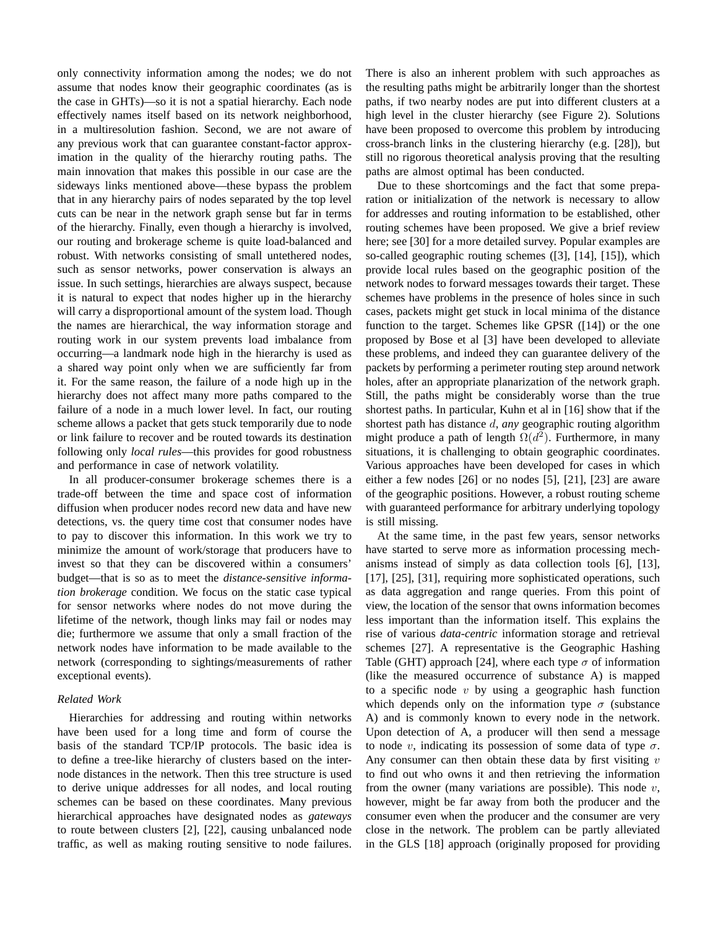only connectivity information among the nodes; we do not assume that nodes know their geographic coordinates (as is the case in GHTs)—so it is not a spatial hierarchy. Each node effectively names itself based on its network neighborhood, in a multiresolution fashion. Second, we are not aware of any previous work that can guarantee constant-factor approximation in the quality of the hierarchy routing paths. The main innovation that makes this possible in our case are the sideways links mentioned above—these bypass the problem that in any hierarchy pairs of nodes separated by the top level cuts can be near in the network graph sense but far in terms of the hierarchy. Finally, even though a hierarchy is involved, our routing and brokerage scheme is quite load-balanced and robust. With networks consisting of small untethered nodes, such as sensor networks, power conservation is always an issue. In such settings, hierarchies are always suspect, because it is natural to expect that nodes higher up in the hierarchy will carry a disproportional amount of the system load. Though the names are hierarchical, the way information storage and routing work in our system prevents load imbalance from occurring—a landmark node high in the hierarchy is used as a shared way point only when we are sufficiently far from it. For the same reason, the failure of a node high up in the hierarchy does not affect many more paths compared to the failure of a node in a much lower level. In fact, our routing scheme allows a packet that gets stuck temporarily due to node or link failure to recover and be routed towards its destination following only *local rules*—this provides for good robustness and performance in case of network volatility.

In all producer-consumer brokerage schemes there is a trade-off between the time and space cost of information diffusion when producer nodes record new data and have new detections, vs. the query time cost that consumer nodes have to pay to discover this information. In this work we try to minimize the amount of work/storage that producers have to invest so that they can be discovered within a consumers' budget—that is so as to meet the *distance-sensitive information brokerage* condition. We focus on the static case typical for sensor networks where nodes do not move during the lifetime of the network, though links may fail or nodes may die; furthermore we assume that only a small fraction of the network nodes have information to be made available to the network (corresponding to sightings/measurements of rather exceptional events).

# *Related Work*

Hierarchies for addressing and routing within networks have been used for a long time and form of course the basis of the standard TCP/IP protocols. The basic idea is to define a tree-like hierarchy of clusters based on the internode distances in the network. Then this tree structure is used to derive unique addresses for all nodes, and local routing schemes can be based on these coordinates. Many previous hierarchical approaches have designated nodes as *gateways* to route between clusters [2], [22], causing unbalanced node traffic, as well as making routing sensitive to node failures. There is also an inherent problem with such approaches as the resulting paths might be arbitrarily longer than the shortest paths, if two nearby nodes are put into different clusters at a high level in the cluster hierarchy (see Figure 2). Solutions have been proposed to overcome this problem by introducing cross-branch links in the clustering hierarchy (e.g. [28]), but still no rigorous theoretical analysis proving that the resulting paths are almost optimal has been conducted.

Due to these shortcomings and the fact that some preparation or initialization of the network is necessary to allow for addresses and routing information to be established, other routing schemes have been proposed. We give a brief review here; see [30] for a more detailed survey. Popular examples are so-called geographic routing schemes ([3], [14], [15]), which provide local rules based on the geographic position of the network nodes to forward messages towards their target. These schemes have problems in the presence of holes since in such cases, packets might get stuck in local minima of the distance function to the target. Schemes like GPSR ([14]) or the one proposed by Bose et al [3] have been developed to alleviate these problems, and indeed they can guarantee delivery of the packets by performing a perimeter routing step around network holes, after an appropriate planarization of the network graph. Still, the paths might be considerably worse than the true shortest paths. In particular, Kuhn et al in [16] show that if the shortest path has distance d, *any* geographic routing algorithm might produce a path of length  $\Omega(d^2)$ . Furthermore, in many situations, it is challenging to obtain geographic coordinates. Various approaches have been developed for cases in which either a few nodes [26] or no nodes [5], [21], [23] are aware of the geographic positions. However, a robust routing scheme with guaranteed performance for arbitrary underlying topology is still missing.

At the same time, in the past few years, sensor networks have started to serve more as information processing mechanisms instead of simply as data collection tools [6], [13], [17], [25], [31], requiring more sophisticated operations, such as data aggregation and range queries. From this point of view, the location of the sensor that owns information becomes less important than the information itself. This explains the rise of various *data-centric* information storage and retrieval schemes [27]. A representative is the Geographic Hashing Table (GHT) approach [24], where each type  $\sigma$  of information (like the measured occurrence of substance A) is mapped to a specific node  $v$  by using a geographic hash function which depends only on the information type  $\sigma$  (substance A) and is commonly known to every node in the network. Upon detection of A, a producer will then send a message to node v, indicating its possession of some data of type  $\sigma$ . Any consumer can then obtain these data by first visiting  $v$ to find out who owns it and then retrieving the information from the owner (many variations are possible). This node  $v$ , however, might be far away from both the producer and the consumer even when the producer and the consumer are very close in the network. The problem can be partly alleviated in the GLS [18] approach (originally proposed for providing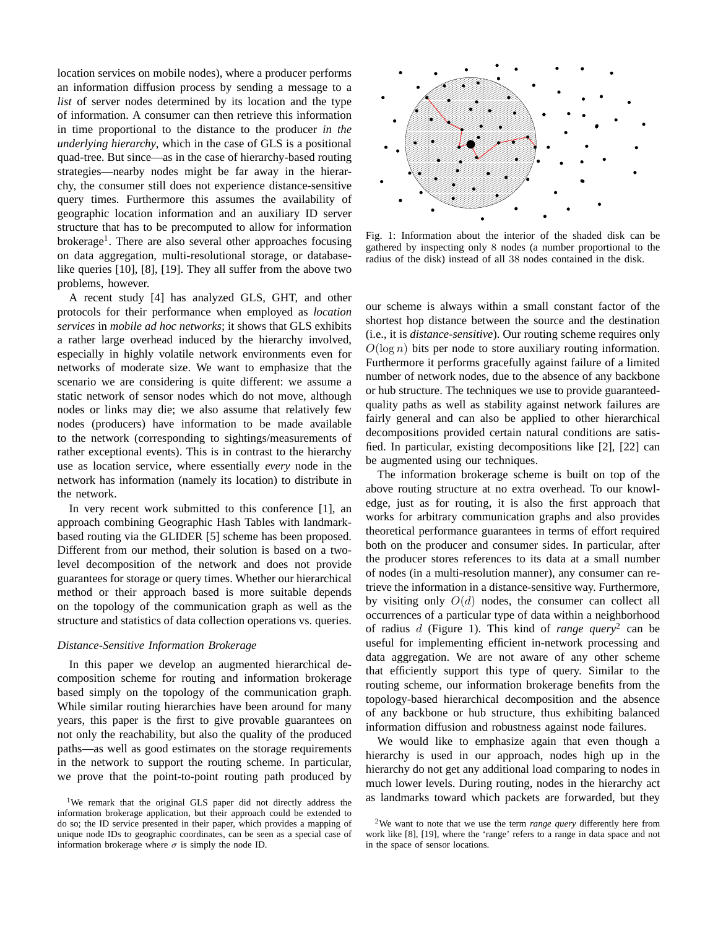location services on mobile nodes), where a producer performs an information diffusion process by sending a message to a *list* of server nodes determined by its location and the type of information. A consumer can then retrieve this information in time proportional to the distance to the producer *in the underlying hierarchy*, which in the case of GLS is a positional quad-tree. But since—as in the case of hierarchy-based routing strategies—nearby nodes might be far away in the hierarchy, the consumer still does not experience distance-sensitive query times. Furthermore this assumes the availability of geographic location information and an auxiliary ID server structure that has to be precomputed to allow for information brokerage<sup>1</sup>. There are also several other approaches focusing on data aggregation, multi-resolutional storage, or databaselike queries [10], [8], [19]. They all suffer from the above two problems, however.

A recent study [4] has analyzed GLS, GHT, and other protocols for their performance when employed as *location services* in *mobile ad hoc networks*; it shows that GLS exhibits a rather large overhead induced by the hierarchy involved, especially in highly volatile network environments even for networks of moderate size. We want to emphasize that the scenario we are considering is quite different: we assume a static network of sensor nodes which do not move, although nodes or links may die; we also assume that relatively few nodes (producers) have information to be made available to the network (corresponding to sightings/measurements of rather exceptional events). This is in contrast to the hierarchy use as location service, where essentially *every* node in the network has information (namely its location) to distribute in the network.

In very recent work submitted to this conference [1], an approach combining Geographic Hash Tables with landmarkbased routing via the GLIDER [5] scheme has been proposed. Different from our method, their solution is based on a twolevel decomposition of the network and does not provide guarantees for storage or query times. Whether our hierarchical method or their approach based is more suitable depends on the topology of the communication graph as well as the structure and statistics of data collection operations vs. queries.

#### *Distance-Sensitive Information Brokerage*

In this paper we develop an augmented hierarchical decomposition scheme for routing and information brokerage based simply on the topology of the communication graph. While similar routing hierarchies have been around for many years, this paper is the first to give provable guarantees on not only the reachability, but also the quality of the produced paths—as well as good estimates on the storage requirements in the network to support the routing scheme. In particular, we prove that the point-to-point routing path produced by



Fig. 1: Information about the interior of the shaded disk can be gathered by inspecting only 8 nodes (a number proportional to the radius of the disk) instead of all 38 nodes contained in the disk.

our scheme is always within a small constant factor of the shortest hop distance between the source and the destination (i.e., it is *distance-sensitive*). Our routing scheme requires only  $O(\log n)$  bits per node to store auxiliary routing information. Furthermore it performs gracefully against failure of a limited number of network nodes, due to the absence of any backbone or hub structure. The techniques we use to provide guaranteedquality paths as well as stability against network failures are fairly general and can also be applied to other hierarchical decompositions provided certain natural conditions are satisfied. In particular, existing decompositions like [2], [22] can be augmented using our techniques.

The information brokerage scheme is built on top of the above routing structure at no extra overhead. To our knowledge, just as for routing, it is also the first approach that works for arbitrary communication graphs and also provides theoretical performance guarantees in terms of effort required both on the producer and consumer sides. In particular, after the producer stores references to its data at a small number of nodes (in a multi-resolution manner), any consumer can retrieve the information in a distance-sensitive way. Furthermore, by visiting only  $O(d)$  nodes, the consumer can collect all occurrences of a particular type of data within a neighborhood of radius d (Figure 1). This kind of *range query*<sup>2</sup> can be useful for implementing efficient in-network processing and data aggregation. We are not aware of any other scheme that efficiently support this type of query. Similar to the routing scheme, our information brokerage benefits from the topology-based hierarchical decomposition and the absence of any backbone or hub structure, thus exhibiting balanced information diffusion and robustness against node failures.

We would like to emphasize again that even though a hierarchy is used in our approach, nodes high up in the hierarchy do not get any additional load comparing to nodes in much lower levels. During routing, nodes in the hierarchy act as landmarks toward which packets are forwarded, but they

<sup>&</sup>lt;sup>1</sup>We remark that the original GLS paper did not directly address the information brokerage application, but their approach could be extended to do so; the ID service presented in their paper, which provides a mapping of unique node IDs to geographic coordinates, can be seen as a special case of information brokerage where  $\sigma$  is simply the node ID.

<sup>2</sup>We want to note that we use the term *range query* differently here from work like [8], [19], where the 'range' refers to a range in data space and not in the space of sensor locations.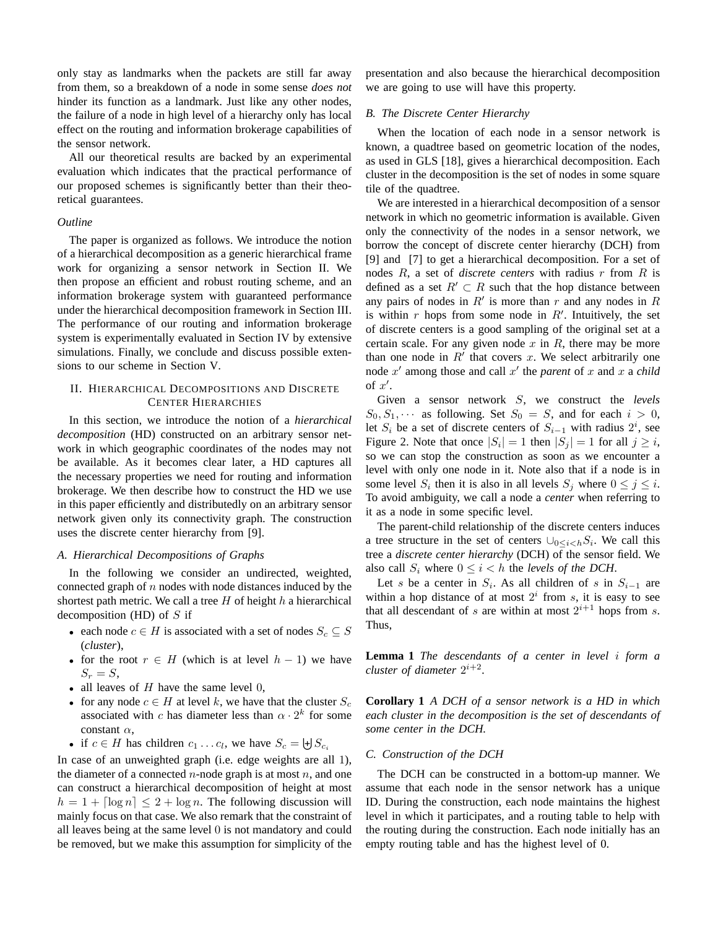only stay as landmarks when the packets are still far away from them, so a breakdown of a node in some sense *does not* hinder its function as a landmark. Just like any other nodes, the failure of a node in high level of a hierarchy only has local effect on the routing and information brokerage capabilities of the sensor network.

All our theoretical results are backed by an experimental evaluation which indicates that the practical performance of our proposed schemes is significantly better than their theoretical guarantees.

#### *Outline*

The paper is organized as follows. We introduce the notion of a hierarchical decomposition as a generic hierarchical frame work for organizing a sensor network in Section II. We then propose an efficient and robust routing scheme, and an information brokerage system with guaranteed performance under the hierarchical decomposition framework in Section III. The performance of our routing and information brokerage system is experimentally evaluated in Section IV by extensive simulations. Finally, we conclude and discuss possible extensions to our scheme in Section V.

# II. HIERARCHICAL DECOMPOSITIONS AND DISCRETE CENTER HIERARCHIES

In this section, we introduce the notion of a *hierarchical decomposition* (HD) constructed on an arbitrary sensor network in which geographic coordinates of the nodes may not be available. As it becomes clear later, a HD captures all the necessary properties we need for routing and information brokerage. We then describe how to construct the HD we use in this paper efficiently and distributedly on an arbitrary sensor network given only its connectivity graph. The construction uses the discrete center hierarchy from [9].

### *A. Hierarchical Decompositions of Graphs*

In the following we consider an undirected, weighted, connected graph of  $n$  nodes with node distances induced by the shortest path metric. We call a tree  $H$  of height  $h$  a hierarchical decomposition (HD) of  $S$  if

- each node  $c \in H$  is associated with a set of nodes  $S_c \subseteq S$ (*cluster*),
- for the root  $r \in H$  (which is at level  $h 1$ ) we have  $S_r = S$ ,
- all leaves of  $H$  have the same level  $0$ ,
- for any node  $c \in H$  at level k, we have that the cluster  $S_c$ associated with c has diameter less than  $\alpha \cdot 2^k$  for some constant  $\alpha$ ,
- if  $c \in H$  has children  $c_1 \dots c_l$ , we have  $S_c = \biguplus S_{c_i}$

In case of an unweighted graph (i.e. edge weights are all 1), the diameter of a connected  $n$ -node graph is at most  $n$ , and one can construct a hierarchical decomposition of height at most  $h = 1 + \lceil \log n \rceil \leq 2 + \log n$ . The following discussion will mainly focus on that case. We also remark that the constraint of all leaves being at the same level 0 is not mandatory and could be removed, but we make this assumption for simplicity of the presentation and also because the hierarchical decomposition we are going to use will have this property.

## *B. The Discrete Center Hierarchy*

When the location of each node in a sensor network is known, a quadtree based on geometric location of the nodes, as used in GLS [18], gives a hierarchical decomposition. Each cluster in the decomposition is the set of nodes in some square tile of the quadtree.

We are interested in a hierarchical decomposition of a sensor network in which no geometric information is available. Given only the connectivity of the nodes in a sensor network, we borrow the concept of discrete center hierarchy (DCH) from [9] and [7] to get a hierarchical decomposition. For a set of nodes R, a set of *discrete centers* with radius r from R is defined as a set  $R' \subset R$  such that the hop distance between any pairs of nodes in  $R'$  is more than  $r$  and any nodes in  $R$ is within  $r$  hops from some node in  $R'$ . Intuitively, the set of discrete centers is a good sampling of the original set at a certain scale. For any given node  $x$  in  $R$ , there may be more than one node in  $R'$  that covers  $x$ . We select arbitrarily one node x' among those and call x' the *parent* of x and x a *child* of  $x'$ .

Given a sensor network S, we construct the *levels*  $S_0, S_1, \cdots$  as following. Set  $S_0 = S$ , and for each  $i > 0$ , let  $S_i$  be a set of discrete centers of  $S_{i-1}$  with radius  $2^i$ , see Figure 2. Note that once  $|S_i| = 1$  then  $|S_j| = 1$  for all  $j \geq i$ , so we can stop the construction as soon as we encounter a level with only one node in it. Note also that if a node is in some level  $S_i$  then it is also in all levels  $S_j$  where  $0 \le j \le i$ . To avoid ambiguity, we call a node a *center* when referring to it as a node in some specific level.

The parent-child relationship of the discrete centers induces a tree structure in the set of centers  $\bigcup_{0 \leq i < h} S_i$ . We call this tree a *discrete center hierarchy* (DCH) of the sensor field. We also call  $S_i$  where  $0 \leq i < h$  the *levels of the DCH*.

Let s be a center in  $S_i$ . As all children of s in  $S_{i-1}$  are within a hop distance of at most  $2^i$  from s, it is easy to see that all descendant of s are within at most  $2^{i+1}$  hops from s. Thus,

**Lemma 1** *The descendants of a center in level* i *form a cluster of diameter*  $2^{i+2}$ *.* 

**Corollary 1** *A DCH of a sensor network is a HD in which each cluster in the decomposition is the set of descendants of some center in the DCH.*

## *C. Construction of the DCH*

The DCH can be constructed in a bottom-up manner. We assume that each node in the sensor network has a unique ID. During the construction, each node maintains the highest level in which it participates, and a routing table to help with the routing during the construction. Each node initially has an empty routing table and has the highest level of 0.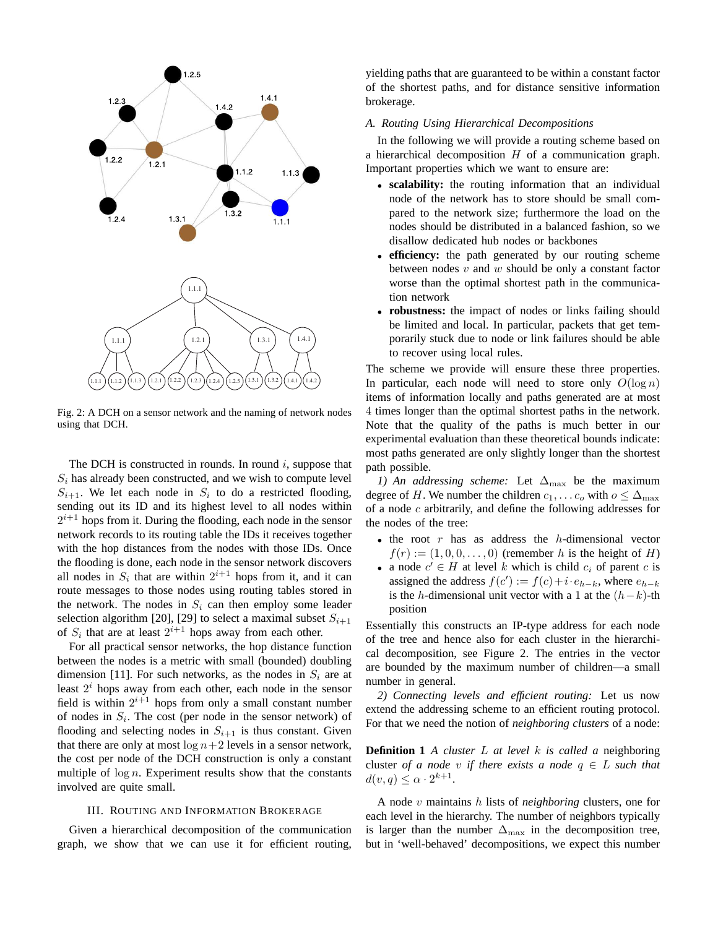

Fig. 2: A DCH on a sensor network and the naming of network nodes using that DCH.

The DCH is constructed in rounds. In round  $i$ , suppose that  $S_i$  has already been constructed, and we wish to compute level  $S_{i+1}$ . We let each node in  $S_i$  to do a restricted flooding, sending out its ID and its highest level to all nodes within  $2^{i+1}$  hops from it. During the flooding, each node in the sensor network records to its routing table the IDs it receives together with the hop distances from the nodes with those IDs. Once the flooding is done, each node in the sensor network discovers all nodes in  $S_i$  that are within  $2^{i+1}$  hops from it, and it can route messages to those nodes using routing tables stored in the network. The nodes in  $S_i$  can then employ some leader selection algorithm [20], [29] to select a maximal subset  $S_{i+1}$ of  $S_i$  that are at least  $2^{i+1}$  hops away from each other.

For all practical sensor networks, the hop distance function between the nodes is a metric with small (bounded) doubling dimension [11]. For such networks, as the nodes in  $S_i$  are at least  $2<sup>i</sup>$  hops away from each other, each node in the sensor field is within  $2^{i+1}$  hops from only a small constant number of nodes in  $S_i$ . The cost (per node in the sensor network) of flooding and selecting nodes in  $S_{i+1}$  is thus constant. Given that there are only at most  $\log n+2$  levels in a sensor network, the cost per node of the DCH construction is only a constant multiple of  $\log n$ . Experiment results show that the constants involved are quite small.

## III. ROUTING AND INFORMATION BROKERAGE

Given a hierarchical decomposition of the communication graph, we show that we can use it for efficient routing, yielding paths that are guaranteed to be within a constant factor of the shortest paths, and for distance sensitive information brokerage.

# *A. Routing Using Hierarchical Decompositions*

In the following we will provide a routing scheme based on a hierarchical decomposition  $H$  of a communication graph. Important properties which we want to ensure are:

- **scalability:** the routing information that an individual node of the network has to store should be small compared to the network size; furthermore the load on the nodes should be distributed in a balanced fashion, so we disallow dedicated hub nodes or backbones
- **efficiency:** the path generated by our routing scheme between nodes  $v$  and  $w$  should be only a constant factor worse than the optimal shortest path in the communication network
- **robustness:** the impact of nodes or links failing should be limited and local. In particular, packets that get temporarily stuck due to node or link failures should be able to recover using local rules.

The scheme we provide will ensure these three properties. In particular, each node will need to store only  $O(\log n)$ items of information locally and paths generated are at most 4 times longer than the optimal shortest paths in the network. Note that the quality of the paths is much better in our experimental evaluation than these theoretical bounds indicate: most paths generated are only slightly longer than the shortest path possible.

*1)* An addressing scheme: Let  $\Delta_{\text{max}}$  be the maximum degree of H. We number the children  $c_1, \ldots c_o$  with  $o \leq \Delta_{\text{max}}$ of a node c arbitrarily, and define the following addresses for the nodes of the tree:

- the root  $r$  has as address the  $h$ -dimensional vector  $f(r) := (1, 0, 0, \ldots, 0)$  (remember h is the height of H)
- a node  $c' \in H$  at level k which is child  $c_i$  of parent c is assigned the address  $f(c') := f(c) + i \cdot e_{h-k}$ , where  $e_{h-k}$ is the h-dimensional unit vector with a 1 at the  $(h-k)$ -th position

Essentially this constructs an IP-type address for each node of the tree and hence also for each cluster in the hierarchical decomposition, see Figure 2. The entries in the vector are bounded by the maximum number of children—a small number in general.

*2) Connecting levels and efficient routing:* Let us now extend the addressing scheme to an efficient routing protocol. For that we need the notion of *neighboring clusters* of a node:

**Definition 1** *A cluster* L *at level* k *is called a* neighboring cluster *of a node* v *if there exists a node*  $q \in L$  *such that*  $d(v, q) \leq \alpha \cdot 2^{k+1}.$ 

A node v maintains h lists of *neighboring* clusters, one for each level in the hierarchy. The number of neighbors typically is larger than the number  $\Delta_{\text{max}}$  in the decomposition tree, but in 'well-behaved' decompositions, we expect this number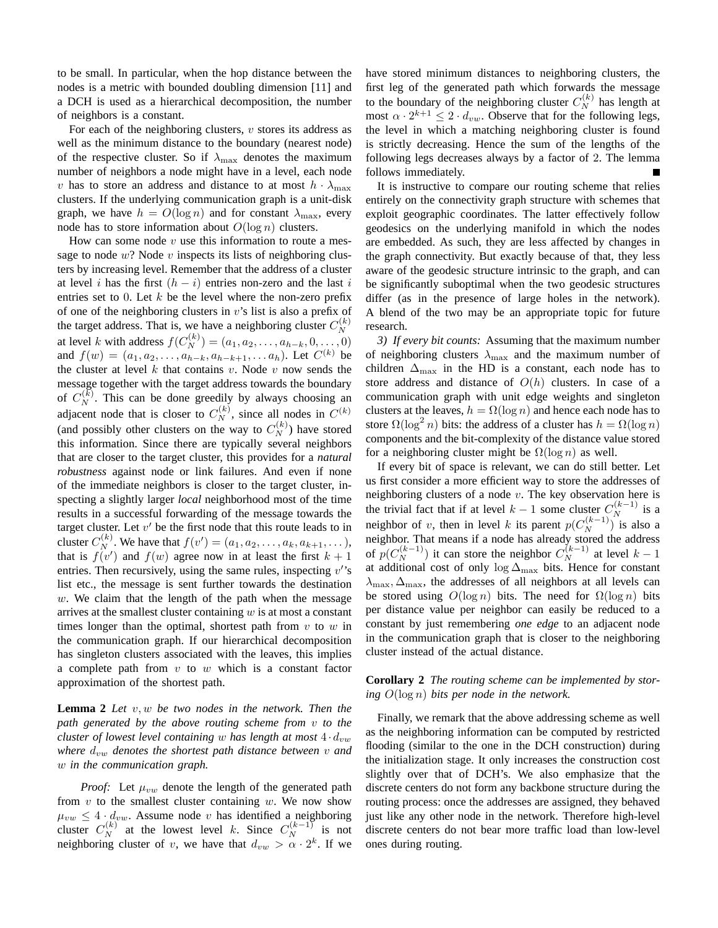to be small. In particular, when the hop distance between the nodes is a metric with bounded doubling dimension [11] and a DCH is used as a hierarchical decomposition, the number of neighbors is a constant.

For each of the neighboring clusters,  $v$  stores its address as well as the minimum distance to the boundary (nearest node) of the respective cluster. So if  $\lambda_{\text{max}}$  denotes the maximum number of neighbors a node might have in a level, each node v has to store an address and distance to at most  $h \cdot \lambda_{\text{max}}$ clusters. If the underlying communication graph is a unit-disk graph, we have  $h = O(\log n)$  and for constant  $\lambda_{\text{max}}$ , every node has to store information about  $O(\log n)$  clusters.

How can some node  $v$  use this information to route a message to node  $w$ ? Node  $v$  inspects its lists of neighboring clusters by increasing level. Remember that the address of a cluster at level i has the first  $(h - i)$  entries non-zero and the last i entries set to 0. Let  $k$  be the level where the non-zero prefix of one of the neighboring clusters in  $v$ 's list is also a prefix of the target address. That is, we have a neighboring cluster  $C_N^{(k)}$ at level k with address  $f(C_N^{(k)}) = (a_1, a_2, \dots, a_{h-k}, 0, \dots, 0)$ and  $f(w) = (a_1, a_2, \ldots, a_{h-k}, a_{h-k+1}, \ldots, a_h)$ . Let  $C^{(k)}$  be the cluster at level k that contains v. Node v now sends the message together with the target address towards the boundary of  $C_N^{(k)}$ . This can be done greedily by always choosing an adjacent node that is closer to  $C_N^{(k)}$ , since all nodes in  $C^{(k)}$ (and possibly other clusters on the way to  $C_N^{(k)}$ ) have stored this information. Since there are typically several neighbors that are closer to the target cluster, this provides for a *natural robustness* against node or link failures. And even if none of the immediate neighbors is closer to the target cluster, inspecting a slightly larger *local* neighborhood most of the time results in a successful forwarding of the message towards the target cluster. Let  $v'$  be the first node that this route leads to in cluster  $C_N^{(k)}$ . We have that  $f(v') = (a_1, a_2, \dots, a_k, a_{k+1}, \dots)$ , that is  $f(v')$  and  $f(w)$  agree now in at least the first  $k+1$ entries. Then recursively, using the same rules, inspecting  $v$ 's list etc., the message is sent further towards the destination  $w$ . We claim that the length of the path when the message arrives at the smallest cluster containing  $w$  is at most a constant times longer than the optimal, shortest path from  $v$  to  $w$  in the communication graph. If our hierarchical decomposition has singleton clusters associated with the leaves, this implies a complete path from  $v$  to  $w$  which is a constant factor approximation of the shortest path.

**Lemma 2** *Let* v,w *be two nodes in the network. Then the path generated by the above routing scheme from* v *to the cluster of lowest level containing* w *has length at most*  $4 \cdot d_{vw}$ *where*  $d_{vw}$  *denotes the shortest path distance between*  $v$  *and* w *in the communication graph.*

*Proof:* Let  $\mu_{vw}$  denote the length of the generated path from  $v$  to the smallest cluster containing  $w$ . We now show  $\mu_{vw} \leq 4 \cdot d_{vw}$ . Assume node v has identified a neighboring cluster  $C_N^{(k)}$  at the lowest level k. Since  $C_N^{(k-1)}$  is not neighboring cluster of v, we have that  $d_{vw} > \alpha \cdot 2^k$ . If we have stored minimum distances to neighboring clusters, the first leg of the generated path which forwards the message to the boundary of the neighboring cluster  $C_N^{(k)}$  has length at most  $\alpha \cdot 2^{k+1} \leq 2 \cdot d_{vw}$ . Observe that for the following legs, the level in which a matching neighboring cluster is found is strictly decreasing. Hence the sum of the lengths of the following legs decreases always by a factor of 2. The lemma follows immediately.

It is instructive to compare our routing scheme that relies entirely on the connectivity graph structure with schemes that exploit geographic coordinates. The latter effectively follow geodesics on the underlying manifold in which the nodes are embedded. As such, they are less affected by changes in the graph connectivity. But exactly because of that, they less aware of the geodesic structure intrinsic to the graph, and can be significantly suboptimal when the two geodesic structures differ (as in the presence of large holes in the network). A blend of the two may be an appropriate topic for future research.

*3) If every bit counts:* Assuming that the maximum number of neighboring clusters  $\lambda_{\text{max}}$  and the maximum number of children  $\Delta_{\text{max}}$  in the HD is a constant, each node has to store address and distance of  $O(h)$  clusters. In case of a communication graph with unit edge weights and singleton clusters at the leaves,  $h = \Omega(\log n)$  and hence each node has to store  $\Omega(\log^2 n)$  bits: the address of a cluster has  $h = \Omega(\log n)$ components and the bit-complexity of the distance value stored for a neighboring cluster might be  $\Omega(\log n)$  as well.

If every bit of space is relevant, we can do still better. Let us first consider a more efficient way to store the addresses of neighboring clusters of a node  $v$ . The key observation here is the trivial fact that if at level  $k-1$  some cluster  $C_N^{(k-1)}$  is a neighbor of v, then in level k its parent  $p(C_N^{(k-1)})$  is also a neighbor. That means if a node has already stored the address of  $p(C_N^{(k-1)})$  it can store the neighbor  $C_N^{(k-1)}$  at level  $k-1$ at additional cost of only log  $\Delta_{\text{max}}$  bits. Hence for constant  $\lambda_{\text{max}}$ ,  $\Delta_{\text{max}}$ , the addresses of all neighbors at all levels can be stored using  $O(\log n)$  bits. The need for  $\Omega(\log n)$  bits per distance value per neighbor can easily be reduced to a constant by just remembering *one edge* to an adjacent node in the communication graph that is closer to the neighboring cluster instead of the actual distance.

# **Corollary 2** *The routing scheme can be implemented by storing* O(log n) *bits per node in the network.*

Finally, we remark that the above addressing scheme as well as the neighboring information can be computed by restricted flooding (similar to the one in the DCH construction) during the initialization stage. It only increases the construction cost slightly over that of DCH's. We also emphasize that the discrete centers do not form any backbone structure during the routing process: once the addresses are assigned, they behaved just like any other node in the network. Therefore high-level discrete centers do not bear more traffic load than low-level ones during routing.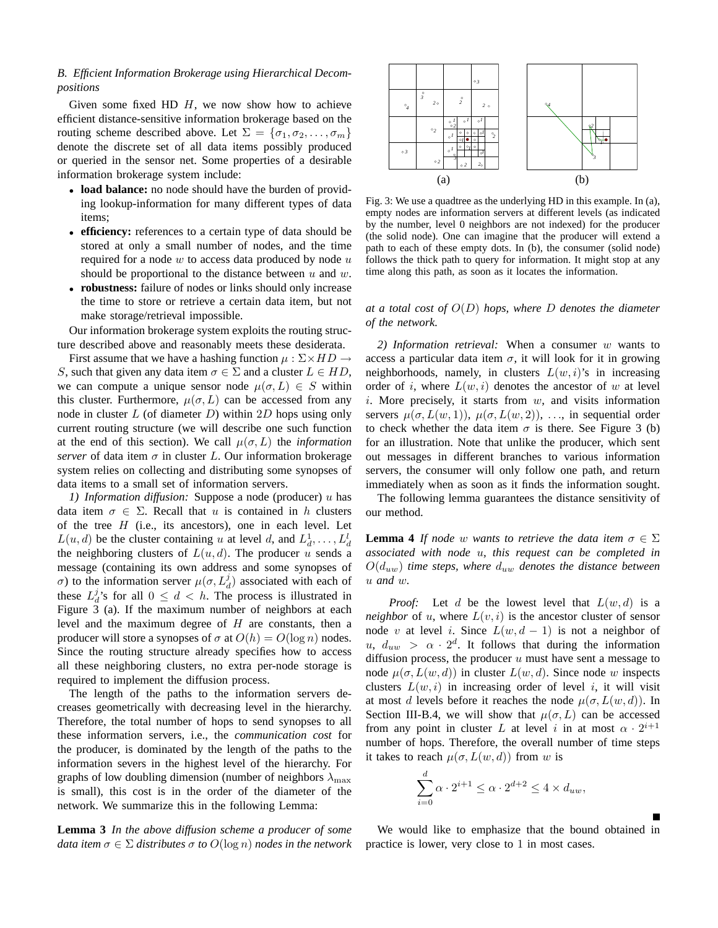# *B. Efficient Information Brokerage using Hierarchical Decompositions*

Given some fixed HD  $H$ , we now show how to achieve efficient distance-sensitive information brokerage based on the routing scheme described above. Let  $\Sigma = {\sigma_1, \sigma_2, \ldots, \sigma_m}$ denote the discrete set of all data items possibly produced or queried in the sensor net. Some properties of a desirable information brokerage system include:

- **load balance:** no node should have the burden of providing lookup-information for many different types of data items;
- **efficiency:** references to a certain type of data should be stored at only a small number of nodes, and the time required for a node  $w$  to access data produced by node  $u$ should be proportional to the distance between  $u$  and  $w$ .
- **robustness:** failure of nodes or links should only increase the time to store or retrieve a certain data item, but not make storage/retrieval impossible.

Our information brokerage system exploits the routing structure described above and reasonably meets these desiderata.

First assume that we have a hashing function  $\mu : \Sigma \times HD \rightarrow$ S, such that given any data item  $\sigma \in \Sigma$  and a cluster  $L \in HD$ , we can compute a unique sensor node  $\mu(\sigma, L) \in S$  within this cluster. Furthermore,  $\mu(\sigma, L)$  can be accessed from any node in cluster  $L$  (of diameter  $D$ ) within  $2D$  hops using only current routing structure (we will describe one such function at the end of this section). We call  $\mu(\sigma, L)$  the *information server* of data item  $\sigma$  in cluster L. Our information brokerage system relies on collecting and distributing some synopses of data items to a small set of information servers.

*1) Information diffusion:* Suppose a node (producer) u has data item  $\sigma \in \Sigma$ . Recall that u is contained in h clusters of the tree  $H$  (i.e., its ancestors), one in each level. Let  $L(u, d)$  be the cluster containing u at level d, and  $L_d^1, \ldots, L_d^l$ the neighboring clusters of  $L(u, d)$ . The producer u sends a message (containing its own address and some synopses of σ) to the information server  $\mu(\sigma, L_d^j)$  associated with each of these  $L_d^j$ 's for all  $0 \leq d < h$ . The process is illustrated in Figure 3 (a). If the maximum number of neighbors at each level and the maximum degree of  $H$  are constants, then a producer will store a synopses of  $\sigma$  at  $O(h) = O(\log n)$  nodes. Since the routing structure already specifies how to access all these neighboring clusters, no extra per-node storage is required to implement the diffusion process.

The length of the paths to the information servers decreases geometrically with decreasing level in the hierarchy. Therefore, the total number of hops to send synopses to all these information servers, i.e., the *communication cost* for the producer, is dominated by the length of the paths to the information severs in the highest level of the hierarchy. For graphs of low doubling dimension (number of neighbors  $\lambda_{\text{max}}$ is small), this cost is in the order of the diameter of the network. We summarize this in the following Lemma:

**Lemma 3** *In the above diffusion scheme a producer of some data item*  $\sigma \in \Sigma$  *distributes*  $\sigma$  *to*  $O(\log n)$  *nodes in the network* 



Fig. 3: We use a quadtree as the underlying HD in this example. In (a), empty nodes are information servers at different levels (as indicated by the number, level 0 neighbors are not indexed) for the producer (the solid node). One can imagine that the producer will extend a path to each of these empty dots. In (b), the consumer (solid node) follows the thick path to query for information. It might stop at any time along this path, as soon as it locates the information.

# *at a total cost of* O(D) *hops, where* D *denotes the diameter of the network.*

*2) Information retrieval:* When a consumer w wants to access a particular data item  $\sigma$ , it will look for it in growing neighborhoods, namely, in clusters  $L(w, i)$ 's in increasing order of i, where  $L(w, i)$  denotes the ancestor of w at level  $i$ . More precisely, it starts from  $w$ , and visits information servers  $\mu(\sigma, L(w, 1)), \mu(\sigma, L(w, 2)), \ldots$ , in sequential order to check whether the data item  $\sigma$  is there. See Figure 3 (b) for an illustration. Note that unlike the producer, which sent out messages in different branches to various information servers, the consumer will only follow one path, and return immediately when as soon as it finds the information sought.

The following lemma guarantees the distance sensitivity of our method.

**Lemma 4** *If node* w *wants to retrieve the data item*  $\sigma \in \Sigma$ *associated with node* u*, this request can be completed in*  $O(d_{uw})$  *time steps, where*  $d_{uw}$  *denotes the distance between* u *and* w*.*

*Proof:* Let d be the lowest level that  $L(w, d)$  is a *neighbor* of u, where  $L(v, i)$  is the ancestor cluster of sensor node v at level i. Since  $L(w, d - 1)$  is not a neighbor of u,  $d_{uw} > \alpha \cdot 2^d$ . It follows that during the information diffusion process, the producer  $u$  must have sent a message to node  $\mu(\sigma, L(w, d))$  in cluster  $L(w, d)$ . Since node w inspects clusters  $L(w, i)$  in increasing order of level i, it will visit at most d levels before it reaches the node  $\mu(\sigma, L(w, d))$ . In Section III-B.4, we will show that  $\mu(\sigma, L)$  can be accessed from any point in cluster L at level i in at most  $\alpha \cdot 2^{i+1}$ number of hops. Therefore, the overall number of time steps it takes to reach  $\mu(\sigma, L(w, d))$  from w is

$$
\sum_{i=0}^{d} \alpha \cdot 2^{i+1} \leq \alpha \cdot 2^{d+2} \leq 4 \times d_{uw},
$$

We would like to emphasize that the bound obtained in practice is lower, very close to 1 in most cases.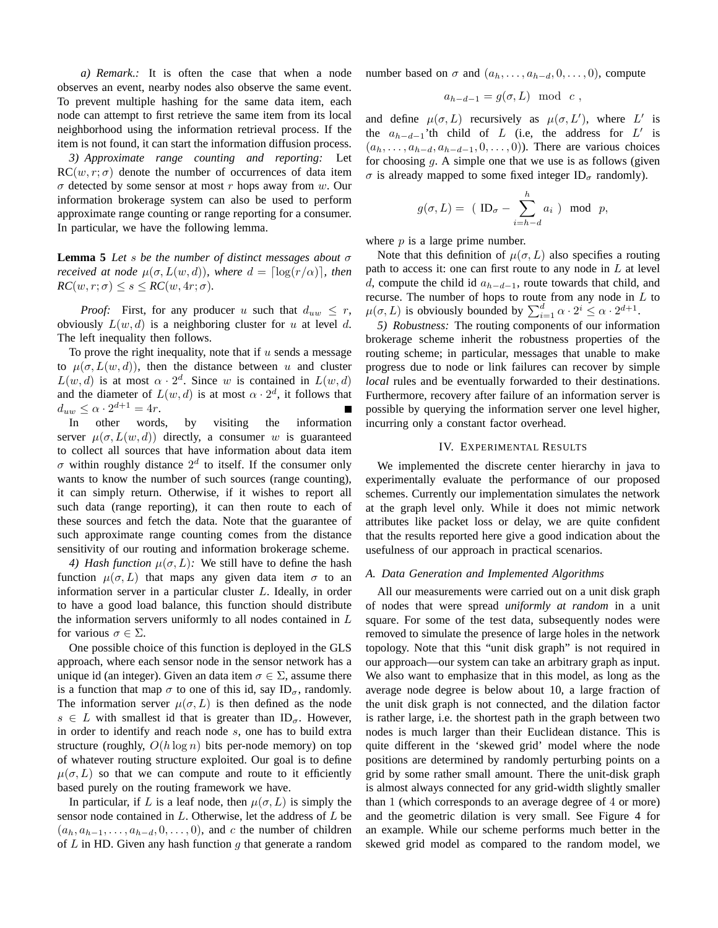*a) Remark.:* It is often the case that when a node observes an event, nearby nodes also observe the same event. To prevent multiple hashing for the same data item, each node can attempt to first retrieve the same item from its local neighborhood using the information retrieval process. If the item is not found, it can start the information diffusion process.

*3) Approximate range counting and reporting:* Let  $RC(w, r; \sigma)$  denote the number of occurrences of data item  $\sigma$  detected by some sensor at most r hops away from w. Our information brokerage system can also be used to perform approximate range counting or range reporting for a consumer. In particular, we have the following lemma.

**Lemma 5** *Let* s *be the number of distinct messages about* σ *received at node*  $\mu(\sigma, L(w, d))$ *, where*  $d = \lceil \log(r/\alpha) \rceil$ *, then*  $RC(w, r; \sigma) \leq s \leq RC(w, 4r; \sigma)$ .

*Proof:* First, for any producer u such that  $d_{uw} \leq r$ , obviously  $L(w, d)$  is a neighboring cluster for u at level d. The left inequality then follows.

To prove the right inequality, note that if  $u$  sends a message to  $\mu(\sigma, L(w, d))$ , then the distance between u and cluster  $L(w, d)$  is at most  $\alpha \cdot 2^d$ . Since w is contained in  $L(w, d)$ and the diameter of  $L(w, d)$  is at most  $\alpha \cdot 2^d$ , it follows that  $d_{uw} \leq \alpha \cdot 2^{d+1} = 4r.$ Г

In other words, by visiting the information server  $\mu(\sigma, L(w, d))$  directly, a consumer w is guaranteed to collect all sources that have information about data item  $\sigma$  within roughly distance  $2^d$  to itself. If the consumer only wants to know the number of such sources (range counting), it can simply return. Otherwise, if it wishes to report all such data (range reporting), it can then route to each of these sources and fetch the data. Note that the guarantee of such approximate range counting comes from the distance sensitivity of our routing and information brokerage scheme.

*4) Hash function*  $\mu(\sigma, L)$ : We still have to define the hash function  $\mu(\sigma, L)$  that maps any given data item  $\sigma$  to an information server in a particular cluster L. Ideally, in order to have a good load balance, this function should distribute the information servers uniformly to all nodes contained in  $L$ for various  $\sigma \in \Sigma$ .

One possible choice of this function is deployed in the GLS approach, where each sensor node in the sensor network has a unique id (an integer). Given an data item  $\sigma \in \Sigma$ , assume there is a function that map  $\sigma$  to one of this id, say ID<sub> $\sigma$ </sub>, randomly. The information server  $\mu(\sigma, L)$  is then defined as the node  $s \in L$  with smallest id that is greater than ID<sub> $\sigma$ </sub>. However, in order to identify and reach node s, one has to build extra structure (roughly,  $O(h \log n)$  bits per-node memory) on top of whatever routing structure exploited. Our goal is to define  $\mu(\sigma, L)$  so that we can compute and route to it efficiently based purely on the routing framework we have.

In particular, if L is a leaf node, then  $\mu(\sigma, L)$  is simply the sensor node contained in  $L$ . Otherwise, let the address of  $L$  be  $(a_h, a_{h-1},..., a_{h-d}, 0,..., 0)$ , and c the number of children of  $L$  in HD. Given any hash function  $g$  that generate a random number based on  $\sigma$  and  $(a_h, \ldots, a_{h-d}, 0, \ldots, 0)$ , compute

$$
a_{h-d-1} = g(\sigma, L) \mod c,
$$

and define  $\mu(\sigma, L)$  recursively as  $\mu(\sigma, L')$ , where L' is the  $a_{h-d-1}$ 'th child of L (i.e, the address for L' is  $(a_h, \ldots, a_{h-d}, a_{h-d-1}, 0, \ldots, 0)$ ). There are various choices for choosing  $g$ . A simple one that we use is as follows (given  $\sigma$  is already mapped to some fixed integer ID<sub> $\sigma$ </sub> randomly).

$$
g(\sigma, L) = (ID_{\sigma} - \sum_{i=h-d}^{h} a_i) \mod p,
$$

where  $p$  is a large prime number.

Note that this definition of  $\mu(\sigma, L)$  also specifies a routing path to access it: one can first route to any node in  $L$  at level d, compute the child id  $a_{h-d-1}$ , route towards that child, and recurse. The number of hops to route from any node in  $L$  to  $\mu(\sigma, L)$  is obviously bounded by  $\sum_{i=1}^{d} \alpha \cdot 2^{i} \leq \alpha \cdot 2^{d+1}$ .

*5) Robustness:* The routing components of our information brokerage scheme inherit the robustness properties of the routing scheme; in particular, messages that unable to make progress due to node or link failures can recover by simple *local* rules and be eventually forwarded to their destinations. Furthermore, recovery after failure of an information server is possible by querying the information server one level higher, incurring only a constant factor overhead.

#### IV. EXPERIMENTAL RESULTS

We implemented the discrete center hierarchy in java to experimentally evaluate the performance of our proposed schemes. Currently our implementation simulates the network at the graph level only. While it does not mimic network attributes like packet loss or delay, we are quite confident that the results reported here give a good indication about the usefulness of our approach in practical scenarios.

#### *A. Data Generation and Implemented Algorithms*

All our measurements were carried out on a unit disk graph of nodes that were spread *uniformly at random* in a unit square. For some of the test data, subsequently nodes were removed to simulate the presence of large holes in the network topology. Note that this "unit disk graph" is not required in our approach—our system can take an arbitrary graph as input. We also want to emphasize that in this model, as long as the average node degree is below about 10, a large fraction of the unit disk graph is not connected, and the dilation factor is rather large, i.e. the shortest path in the graph between two nodes is much larger than their Euclidean distance. This is quite different in the 'skewed grid' model where the node positions are determined by randomly perturbing points on a grid by some rather small amount. There the unit-disk graph is almost always connected for any grid-width slightly smaller than 1 (which corresponds to an average degree of 4 or more) and the geometric dilation is very small. See Figure 4 for an example. While our scheme performs much better in the skewed grid model as compared to the random model, we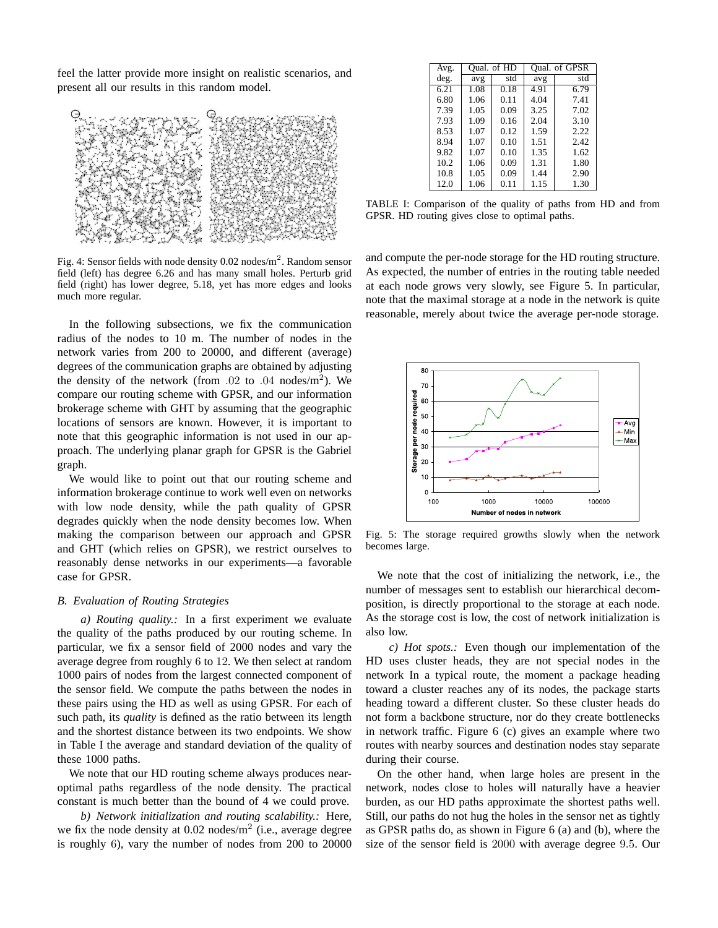feel the latter provide more insight on realistic scenarios, and present all our results in this random model.



Fig. 4: Sensor fields with node density 0.02 nodes/m<sup>2</sup>. Random sensor field (left) has degree 6.26 and has many small holes. Perturb grid field (right) has lower degree, 5.18, yet has more edges and looks much more regular.

In the following subsections, we fix the communication radius of the nodes to 10 m. The number of nodes in the network varies from 200 to 20000, and different (average) degrees of the communication graphs are obtained by adjusting the density of the network (from .02 to .04 nodes/ $m<sup>2</sup>$ ). We compare our routing scheme with GPSR, and our information brokerage scheme with GHT by assuming that the geographic locations of sensors are known. However, it is important to note that this geographic information is not used in our approach. The underlying planar graph for GPSR is the Gabriel graph.

We would like to point out that our routing scheme and information brokerage continue to work well even on networks with low node density, while the path quality of GPSR degrades quickly when the node density becomes low. When making the comparison between our approach and GPSR and GHT (which relies on GPSR), we restrict ourselves to reasonably dense networks in our experiments—a favorable case for GPSR.

# *B. Evaluation of Routing Strategies*

*a) Routing quality.:* In a first experiment we evaluate the quality of the paths produced by our routing scheme. In particular, we fix a sensor field of 2000 nodes and vary the average degree from roughly 6 to 12. We then select at random 1000 pairs of nodes from the largest connected component of the sensor field. We compute the paths between the nodes in these pairs using the HD as well as using GPSR. For each of such path, its *quality* is defined as the ratio between its length and the shortest distance between its two endpoints. We show in Table I the average and standard deviation of the quality of these 1000 paths.

We note that our HD routing scheme always produces nearoptimal paths regardless of the node density. The practical constant is much better than the bound of 4 we could prove.

*b) Network initialization and routing scalability.:* Here, we fix the node density at  $0.02$  nodes/m<sup>2</sup> (i.e., average degree is roughly 6), vary the number of nodes from 200 to 20000

| Avg. |      | Qual. of HD | Oual. of GPSR |      |  |
|------|------|-------------|---------------|------|--|
| deg. | avg  | std         | avg           | std  |  |
| 6.21 | 1.08 | 0.18        | 4.91          | 6.79 |  |
| 6.80 | 1.06 | 0.11        | 4.04          | 7.41 |  |
| 7.39 | 1.05 | 0.09        | 3.25          | 7.02 |  |
| 7.93 | 1.09 | 0.16        | 2.04          | 3.10 |  |
| 8.53 | 1.07 | 0.12        | 1.59          | 2.22 |  |
| 8.94 | 1.07 | 0.10        | 1.51          | 2.42 |  |
| 9.82 | 1.07 | 0.10        | 1.35          | 1.62 |  |
| 10.2 | 1.06 | 0.09        | 1.31          | 1.80 |  |
| 10.8 | 1.05 | 0.09        | 1.44          | 2.90 |  |
| 12.0 | 1.06 | 0.11        | 1.15          | 1.30 |  |

TABLE I: Comparison of the quality of paths from HD and from GPSR. HD routing gives close to optimal paths.

and compute the per-node storage for the HD routing structure. As expected, the number of entries in the routing table needed at each node grows very slowly, see Figure 5. In particular, note that the maximal storage at a node in the network is quite reasonable, merely about twice the average per-node storage.



Fig. 5: The storage required growths slowly when the network becomes large.

We note that the cost of initializing the network, i.e., the number of messages sent to establish our hierarchical decomposition, is directly proportional to the storage at each node. As the storage cost is low, the cost of network initialization is also low.

*c) Hot spots.:* Even though our implementation of the HD uses cluster heads, they are not special nodes in the network In a typical route, the moment a package heading toward a cluster reaches any of its nodes, the package starts heading toward a different cluster. So these cluster heads do not form a backbone structure, nor do they create bottlenecks in network traffic. Figure 6 (c) gives an example where two routes with nearby sources and destination nodes stay separate during their course.

On the other hand, when large holes are present in the network, nodes close to holes will naturally have a heavier burden, as our HD paths approximate the shortest paths well. Still, our paths do not hug the holes in the sensor net as tightly as GPSR paths do, as shown in Figure 6 (a) and (b), where the size of the sensor field is 2000 with average degree 9.5. Our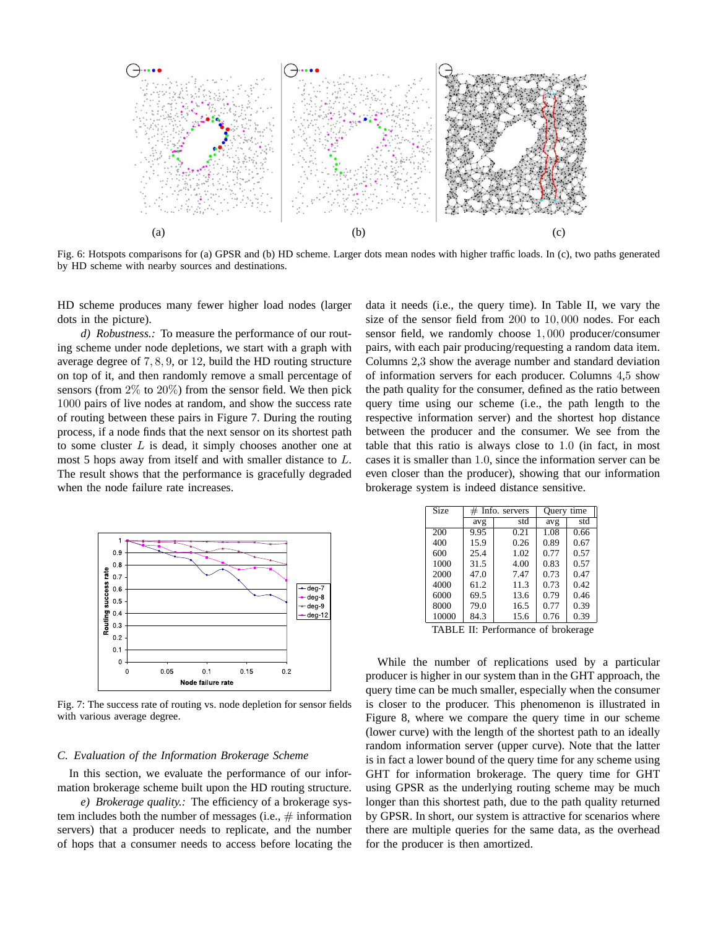

Fig. 6: Hotspots comparisons for (a) GPSR and (b) HD scheme. Larger dots mean nodes with higher traffic loads. In (c), two paths generated by HD scheme with nearby sources and destinations.

HD scheme produces many fewer higher load nodes (larger dots in the picture).

*d) Robustness.:* To measure the performance of our routing scheme under node depletions, we start with a graph with average degree of 7, 8, 9, or 12, build the HD routing structure on top of it, and then randomly remove a small percentage of sensors (from  $2\%$  to  $20\%$ ) from the sensor field. We then pick 1000 pairs of live nodes at random, and show the success rate of routing between these pairs in Figure 7. During the routing process, if a node finds that the next sensor on its shortest path to some cluster  $L$  is dead, it simply chooses another one at most 5 hops away from itself and with smaller distance to L. The result shows that the performance is gracefully degraded when the node failure rate increases.



Fig. 7: The success rate of routing vs. node depletion for sensor fields with various average degree.

## *C. Evaluation of the Information Brokerage Scheme*

In this section, we evaluate the performance of our information brokerage scheme built upon the HD routing structure.

*e) Brokerage quality.:* The efficiency of a brokerage system includes both the number of messages (i.e.,  $\#$  information servers) that a producer needs to replicate, and the number of hops that a consumer needs to access before locating the data it needs (i.e., the query time). In Table II, we vary the size of the sensor field from 200 to 10, 000 nodes. For each sensor field, we randomly choose 1, 000 producer/consumer pairs, with each pair producing/requesting a random data item. Columns 2,3 show the average number and standard deviation of information servers for each producer. Columns 4,5 show the path quality for the consumer, defined as the ratio between query time using our scheme (i.e., the path length to the respective information server) and the shortest hop distance between the producer and the consumer. We see from the table that this ratio is always close to 1.0 (in fact, in most cases it is smaller than 1.0, since the information server can be even closer than the producer), showing that our information brokerage system is indeed distance sensitive.

| <b>Size</b> | $#$ Info. servers |      | Query time |      |  |
|-------------|-------------------|------|------------|------|--|
|             | avg               | std  | avg        | std  |  |
| 200         | 9.95              | 0.21 | 1.08       | 0.66 |  |
| 400         | 15.9              | 0.26 | 0.89       | 0.67 |  |
| 600         | 25.4              | 1.02 | 0.77       | 0.57 |  |
| 1000        | 31.5              | 4.00 | 0.83       | 0.57 |  |
| 2000        | 47.0              | 7.47 | 0.73       | 0.47 |  |
| 4000        | 61.2              | 11.3 | 0.73       | 0.42 |  |
| 6000        | 69.5              | 13.6 | 0.79       | 0.46 |  |
| 8000        | 79.0              | 16.5 | 0.77       | 0.39 |  |
| 10000       | 84.3              | 15.6 | 0.76       | 0.39 |  |

TABLE II: Performance of brokerage

While the number of replications used by a particular producer is higher in our system than in the GHT approach, the query time can be much smaller, especially when the consumer is closer to the producer. This phenomenon is illustrated in Figure 8, where we compare the query time in our scheme (lower curve) with the length of the shortest path to an ideally random information server (upper curve). Note that the latter is in fact a lower bound of the query time for any scheme using GHT for information brokerage. The query time for GHT using GPSR as the underlying routing scheme may be much longer than this shortest path, due to the path quality returned by GPSR. In short, our system is attractive for scenarios where there are multiple queries for the same data, as the overhead for the producer is then amortized.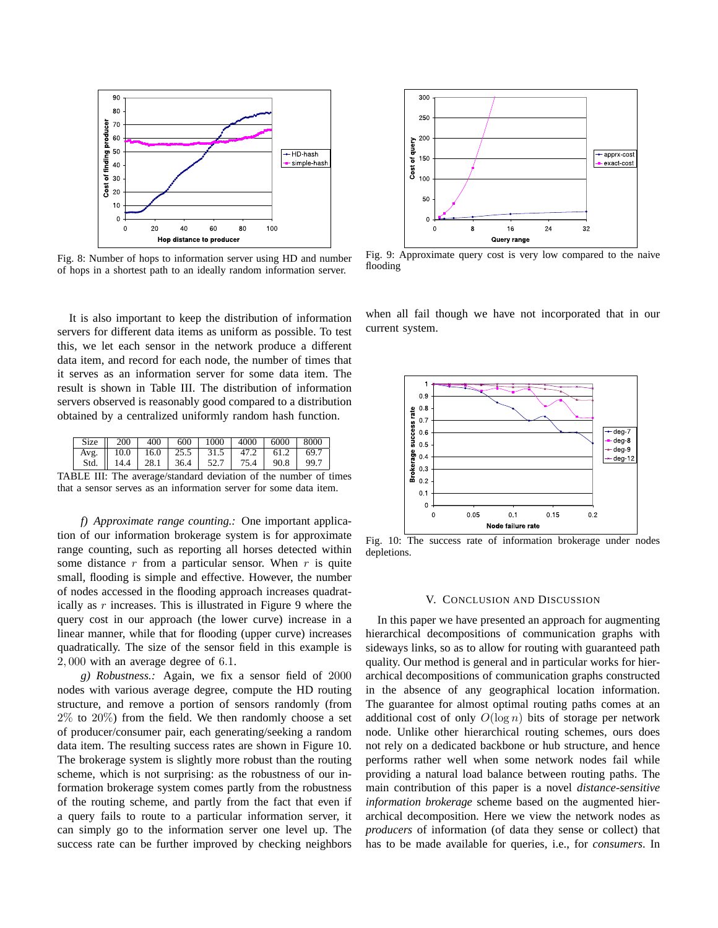

Fig. 8: Number of hops to information server using HD and number of hops in a shortest path to an ideally random information server.

It is also important to keep the distribution of information servers for different data items as uniform as possible. To test this, we let each sensor in the network produce a different data item, and record for each node, the number of times that it serves as an information server for some data item. The result is shown in Table III. The distribution of information servers observed is reasonably good compared to a distribution obtained by a centralized uniformly random hash function.

|  |  |  |  | Size $\parallel$ 200   400   600   1000   4000   6000   8000 |  |  |  |
|--|--|--|--|--------------------------------------------------------------|--|--|--|
|  |  |  |  | Avg.   10.0   16.0   25.5   31.5   47.2   61.2   69.7        |  |  |  |
|  |  |  |  | Std.   14.4   28.1   36.4   52.7   75.4   90.8   99.7        |  |  |  |
|  |  |  |  |                                                              |  |  |  |

TABLE III: The average/standard deviation of the number of times that a sensor serves as an information server for some data item.

*f) Approximate range counting.:* One important application of our information brokerage system is for approximate range counting, such as reporting all horses detected within some distance  $r$  from a particular sensor. When  $r$  is quite small, flooding is simple and effective. However, the number of nodes accessed in the flooding approach increases quadratically as  $r$  increases. This is illustrated in Figure 9 where the query cost in our approach (the lower curve) increase in a linear manner, while that for flooding (upper curve) increases quadratically. The size of the sensor field in this example is 2, 000 with an average degree of 6.1.

*g) Robustness.:* Again, we fix a sensor field of 2000 nodes with various average degree, compute the HD routing structure, and remove a portion of sensors randomly (from 2% to 20%) from the field. We then randomly choose a set of producer/consumer pair, each generating/seeking a random data item. The resulting success rates are shown in Figure 10. The brokerage system is slightly more robust than the routing scheme, which is not surprising: as the robustness of our information brokerage system comes partly from the robustness of the routing scheme, and partly from the fact that even if a query fails to route to a particular information server, it can simply go to the information server one level up. The success rate can be further improved by checking neighbors



Fig. 9: Approximate query cost is very low compared to the naive flooding

when all fail though we have not incorporated that in our current system.



Fig. 10: The success rate of information brokerage under nodes depletions.

## V. CONCLUSION AND DISCUSSION

In this paper we have presented an approach for augmenting hierarchical decompositions of communication graphs with sideways links, so as to allow for routing with guaranteed path quality. Our method is general and in particular works for hierarchical decompositions of communication graphs constructed in the absence of any geographical location information. The guarantee for almost optimal routing paths comes at an additional cost of only  $O(\log n)$  bits of storage per network node. Unlike other hierarchical routing schemes, ours does not rely on a dedicated backbone or hub structure, and hence performs rather well when some network nodes fail while providing a natural load balance between routing paths. The main contribution of this paper is a novel *distance-sensitive information brokerage* scheme based on the augmented hierarchical decomposition. Here we view the network nodes as *producers* of information (of data they sense or collect) that has to be made available for queries, i.e., for *consumers*. In